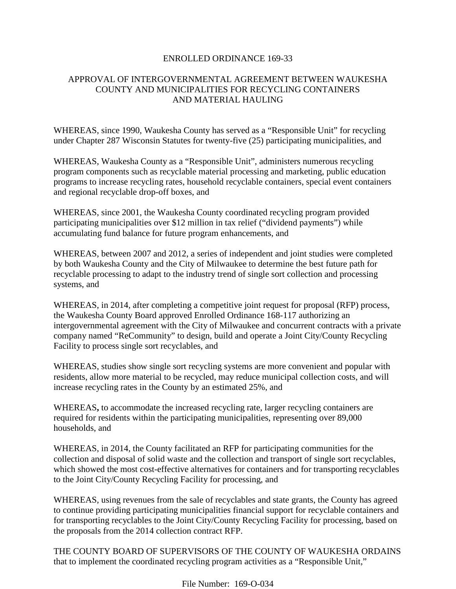### ENROLLED ORDINANCE 169-33

# APPROVAL OF INTERGOVERNMENTAL AGREEMENT BETWEEN WAUKESHA COUNTY AND MUNICIPALITIES FOR RECYCLING CONTAINERS AND MATERIAL HAULING

WHEREAS, since 1990, Waukesha County has served as a "Responsible Unit" for recycling under Chapter 287 Wisconsin Statutes for twenty-five (25) participating municipalities, and

WHEREAS, Waukesha County as a "Responsible Unit", administers numerous recycling program components such as recyclable material processing and marketing, public education programs to increase recycling rates, household recyclable containers, special event containers and regional recyclable drop-off boxes, and

WHEREAS, since 2001, the Waukesha County coordinated recycling program provided participating municipalities over \$12 million in tax relief ("dividend payments") while accumulating fund balance for future program enhancements, and

WHEREAS, between 2007 and 2012, a series of independent and joint studies were completed by both Waukesha County and the City of Milwaukee to determine the best future path for recyclable processing to adapt to the industry trend of single sort collection and processing systems, and

WHEREAS, in 2014, after completing a competitive joint request for proposal (RFP) process, the Waukesha County Board approved Enrolled Ordinance 168-117 authorizing an intergovernmental agreement with the City of Milwaukee and concurrent contracts with a private company named "ReCommunity" to design, build and operate a Joint City/County Recycling Facility to process single sort recyclables, and

WHEREAS, studies show single sort recycling systems are more convenient and popular with residents, allow more material to be recycled, may reduce municipal collection costs, and will increase recycling rates in the County by an estimated 25%, and

WHEREAS**,** to accommodate the increased recycling rate, larger recycling containers are required for residents within the participating municipalities, representing over 89,000 households, and

WHEREAS, in 2014, the County facilitated an RFP for participating communities for the collection and disposal of solid waste and the collection and transport of single sort recyclables, which showed the most cost-effective alternatives for containers and for transporting recyclables to the Joint City/County Recycling Facility for processing, and

WHEREAS, using revenues from the sale of recyclables and state grants, the County has agreed to continue providing participating municipalities financial support for recyclable containers and for transporting recyclables to the Joint City/County Recycling Facility for processing, based on the proposals from the 2014 collection contract RFP.

THE COUNTY BOARD OF SUPERVISORS OF THE COUNTY OF WAUKESHA ORDAINS that to implement the coordinated recycling program activities as a "Responsible Unit,"

File Number: 169-O-034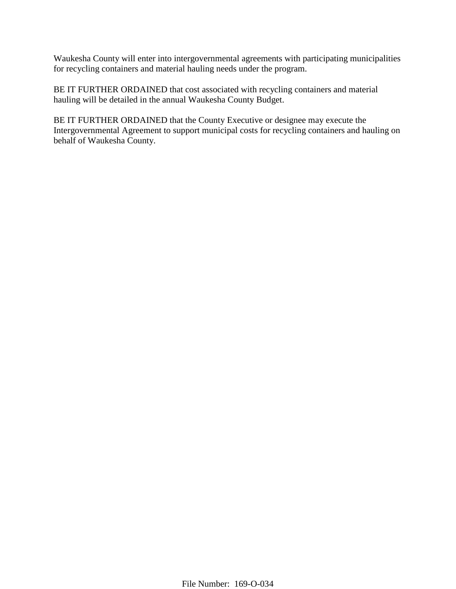Waukesha County will enter into intergovernmental agreements with participating municipalities for recycling containers and material hauling needs under the program.

BE IT FURTHER ORDAINED that cost associated with recycling containers and material hauling will be detailed in the annual Waukesha County Budget.

BE IT FURTHER ORDAINED that the County Executive or designee may execute the Intergovernmental Agreement to support municipal costs for recycling containers and hauling on behalf of Waukesha County.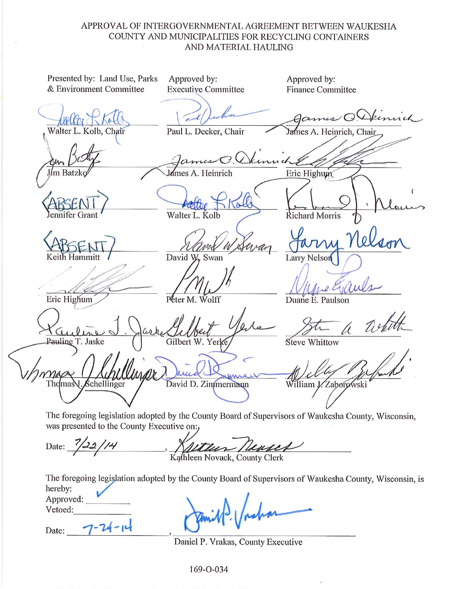# APPROVAL OF INTERGOVERNMENTAL AGREEMENT BETWEEN WAUKESHA COUNTY AND MUNICIPALITIES FOR RECYCLING CONTAINERS AND MATERIAL HAULING

Presented by: Land Use, Parks Approved by: Approved by: & Environment Committee **Executive Committee Finance Committee**  $\epsilon$ Walter L. Kolb, Chair Paul L. Decker, Chair A. Heinrich, Chair James Eric Highum Iím Batzk Lames A. Heinrich  $\omega$ Walter L. Kolb Richard Morris er Grant David W. Swan **Larry Nelson** Eric Highum Peter M. Wolff Duane E. Paulson Pauling T. Jaske Gilbert W. Yerk Steve Whittow Schellinger David D. Zimmermann Thdmas William J. Zaborowski The foregoing legislation adopted by the County Board of Supervisors of Waukesha County, Wisconsin, was presented to the County Executive on: Date:

Kathleen Novack, County Clerk

The foregoing legislation adopted by the County Board of Supervisors of Waukesha County, Wisconsin, is hereby:

Approved: Vetoed:

 $7 - 24 - 14$ Date:

Daniel P. Vrakas, County Executive

169-O-034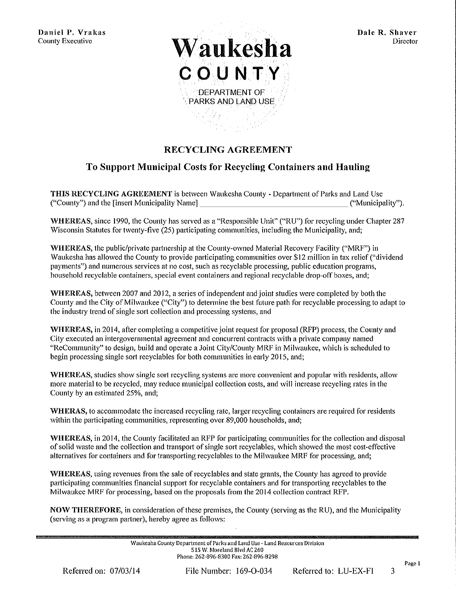Daniel P. Vrakas **County Executive** 



# **RECYCLING AGREEMENT**

# To Support Municipal Costs for Recycling Containers and Hauling

THIS RECYCLING AGREEMENT is between Waukesha County - Department of Parks and Land Use ("County") and the [insert Municipality Name] ("Municipality").

WHEREAS, since 1990, the County has served as a "Responsible Unit" ("RU") for recycling under Chapter 287 Wisconsin Statutes for twenty-five (25) participating communities, including the Municipality, and;

WHEREAS, the public/private partnership at the County-owned Material Recovery Facility ("MRF") in Waukesha has allowed the County to provide participating communities over \$12 million in tax relief ("dividend payments") and numerous services at no cost, such as recyclable processing, public education programs, household recyclable containers, special event containers and regional recyclable drop-off boxes, and:

WHEREAS, between 2007 and 2012, a series of independent and joint studies were completed by both the County and the City of Milwaukee ("City") to determine the best future path for recyclable processing to adapt to the industry trend of single sort collection and processing systems, and

WHEREAS, in 2014, after completing a competitive joint request for proposal (RFP) process, the County and City executed an intergovernmental agreement and concurrent contracts with a private company named "ReCommunity" to design, build and operate a Joint City/County MRF in Milwaukee, which is scheduled to begin processing single sort recyclables for both communities in early 2015, and;

WHEREAS, studies show single sort recycling systems are more convenient and popular with residents, allow more material to be recycled, may reduce municipal collection costs, and will increase recycling rates in the County by an estimated 25%, and;

WHERAS, to accommodate the increased recycling rate, larger recycling containers are required for residents within the participating communities, representing over 89,000 households, and;

WHEREAS, in 2014, the County facilitated an RFP for participating communities for the collection and disposal of solid waste and the collection and transport of single sort recyclables, which showed the most cost-effective alternatives for containers and for transporting recyclables to the Milwaukee MRF for processing, and;

WHEREAS, using revenues from the sale of recyclables and state grants, the County has agreed to provide participating communities financial support for recyclable containers and for transporting recyclables to the Milwaukee MRF for processing, based on the proposals from the 2014 collection contract RFP.

NOW THEREFORE, in consideration of these premises, the County (serving as the RU), and the Municipality (serving as a program partner), hereby agree as follows:

> Waukesha County Department of Parks and Land Use - Land Resources Division 515 W. Moreland Blvd AC 260 Phone: 262-896-8300 Fax: 262-896-8298

File Number:  $169-0-034$ 

Page 1

3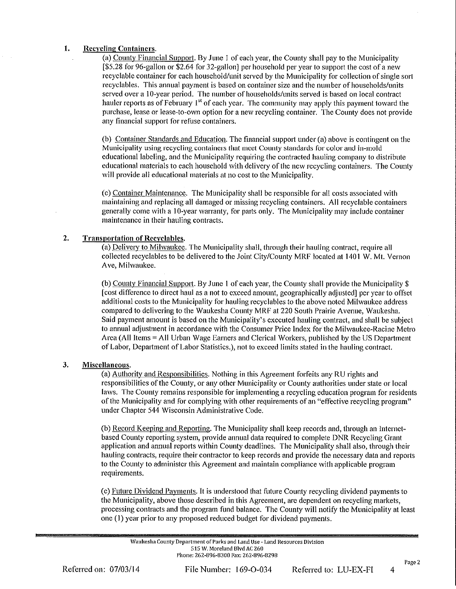#### 1. **Recycling Containers.**

(a) County Financial Support. By June 1 of each year, the County shall pay to the Municipality [\$5.28 for 96-gallon or \$2.64 for 32-gallon] per household per year to support the cost of a new recyclable container for each household/unit served by the Municipality for collection of single sort recyclables. This annual payment is based on container size and the number of households/units served over a 10-year period. The number of households/units served is based on local contract hauler reports as of February 1<sup>st</sup> of each year. The community may apply this payment toward the purchase, lease or lease-to-own option for a new recycling container. The County does not provide any financial support for refuse containers.

(b) Container Standards and Education. The financial support under (a) above is contingent on the Municipality using recycling containers that meet County standards for color and in-mold educational labeling, and the Municipality requiring the contracted hauling company to distribute educational materials to each household with delivery of the new recycling containers. The County will provide all educational materials at no cost to the Municipality.

(c) Container Maintenance. The Municipality shall be responsible for all costs associated with maintaining and replacing all damaged or missing recycling containers. All recyclable containers generally come with a 10-year warranty, for parts only. The Municipality may include container maintenance in their hauling contracts.

#### $2.$ **Transportation of Recyclables.**

(a) Delivery to Milwaukee. The Municipality shall, through their hauling contract, require all collected recyclables to be delivered to the Joint City/County MRF located at 1401 W. Mt. Vernon Ave, Milwaukee.

(b) County Financial Support, By June 1 of each year, the County shall provide the Municipality \$ [cost difference to direct haul as a not to exceed amount, geographically adjusted] per year to offset additional costs to the Municipality for hauling recyclables to the above noted Milwaukee address compared to delivering to the Waukesha County MRF at 220 South Prairie Avenue, Waukesha. Said payment amount is based on the Municipality's executed hauling contract, and shall be subject to annual adjustment in accordance with the Consumer Price Index for the Milwaukee-Racine Metro Area (All Items = All Urban Wage Earners and Clerical Workers, published by the US Department of Labor, Department of Labor Statistics.), not to exceed limits stated in the hauling contract.

#### 3. Miscellaneous.

(a) Authority and Responsibilities. Nothing in this Agreement forfeits any RU rights and responsibilities of the County, or any other Municipality or County authorities under state or local laws. The County remains responsible for implementing a recycling education program for residents of the Municipality and for complying with other requirements of an "effective recycling program" under Chapter 544 Wisconsin Administrative Code.

(b) Record Keeping and Reporting. The Municipality shall keep records and, through an Internetbased County reporting system, provide annual data required to complete DNR Recycling Grant application and annual reports within County deadlines. The Municipality shall also, through their hauling contracts, require their contractor to keep records and provide the necessary data and reports to the County to administer this Agreement and maintain compliance with applicable program requirements.

(c) Future Dividend Payments. It is understood that future County recycling dividend payments to the Municipality, above those described in this Agreement, are dependent on recycling markets, processing contracts and the program fund balance. The County will notify the Municipality at least one (1) year prior to any proposed reduced budget for dividend payments.

Waukesha County Department of Parks and Land Use - Land Resources Division 515 W. Moreland Blvd AC 260 Phone: 262-896-8300 Fax: 262-896-8298

Page 2

 $\overline{4}$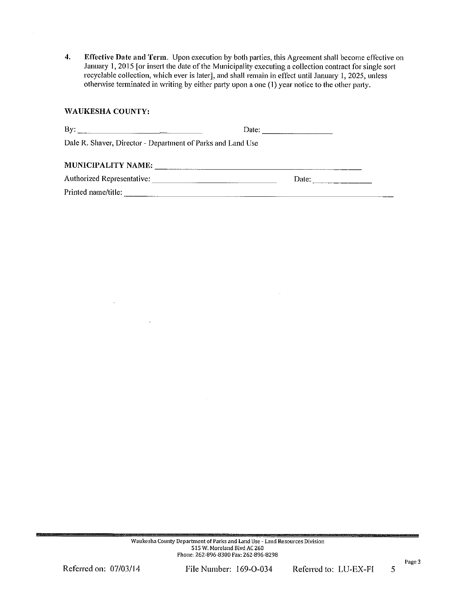$\overline{4}$ . Effective Date and Term. Upon execution by both parties, this Agreement shall become effective on January 1, 2015 [or insert the date of the Municipality executing a collection contract for single sort recyclable collection, which ever is later], and shall remain in effect until January 1, 2025, unless otherwise terminated in writing by either party upon a one (1) year notice to the other party.

### **WAUKESHA COUNTY:**

| By:<br><u> 1989 - Andrea Stadt Britain, amerikansk politiker (</u> | Date: |
|--------------------------------------------------------------------|-------|
| Dale R. Shaver, Director - Department of Parks and Land Use        |       |
| <b>MUNICIPALITY NAME:</b>                                          |       |
| Authorized Representative:                                         | Date: |
| Printed name/title:                                                |       |

File Number: 169-O-034

Page 3

5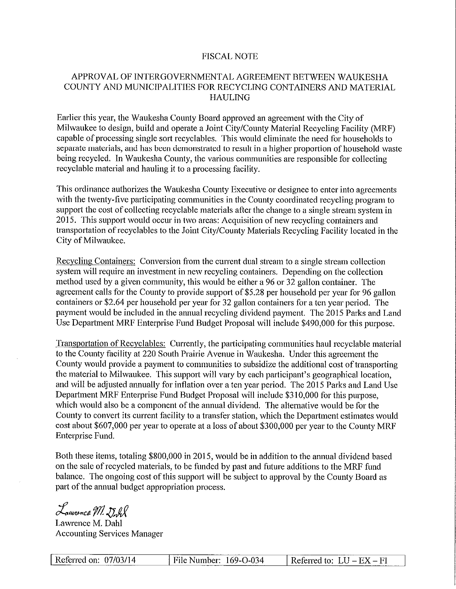# **FISCAL NOTE**

# APPROVAL OF INTERGOVERNMENTAL AGREEMENT BETWEEN WAUKESHA COUNTY AND MUNICIPALITIES FOR RECYCLING CONTAINERS AND MATERIAL **HAULING**

Earlier this year, the Waukesha County Board approved an agreement with the City of Milwaukee to design, build and operate a Joint City/County Material Recycling Facility (MRF) capable of processing single sort recyclables. This would eliminate the need for households to separate materials, and has been demonstrated to result in a higher proportion of household waste being recycled. In Waukesha County, the various communities are responsible for collecting recyclable material and hauling it to a processing facility.

This ordinance authorizes the Waukesha County Executive or designee to enter into agreements with the twenty-five participating communities in the County coordinated recycling program to support the cost of collecting recyclable materials after the change to a single stream system in 2015. This support would occur in two areas: Acquisition of new recycling containers and transportation of recyclables to the Joint City/County Materials Recycling Facility located in the City of Milwaukee.

Recycling Containers: Conversion from the current dual stream to a single stream collection system will require an investment in new recycling containers. Depending on the collection method used by a given community, this would be either a 96 or 32 gallon container. The agreement calls for the County to provide support of \$5.28 per household per year for 96 gallon containers or \$2.64 per household per year for 32 gallon containers for a ten year period. The payment would be included in the annual recycling dividend payment. The 2015 Parks and Land Use Department MRF Enterprise Fund Budget Proposal will include \$490,000 for this purpose.

Transportation of Recyclables: Currently, the participating communities haul recyclable material to the County facility at 220 South Prairie Avenue in Waukesha. Under this agreement the County would provide a payment to communities to subsidize the additional cost of transporting the material to Milwaukee. This support will vary by each participant's geographical location, and will be adjusted annually for inflation over a ten year period. The 2015 Parks and Land Use Department MRF Enterprise Fund Budget Proposal will include \$310,000 for this purpose. which would also be a component of the annual dividend. The alternative would be for the County to convert its current facility to a transfer station, which the Department estimates would cost about \$607,000 per year to operate at a loss of about \$300,000 per year to the County MRF Enterprise Fund.

Both these items, totaling \$800,000 in 2015, would be in addition to the annual dividend based on the sale of recycled materials, to be funded by past and future additions to the MRF fund balance. The ongoing cost of this support will be subject to approval by the County Board as part of the annual budget appropriation process.

Lamonce M. Dull

Lawrence M. Dahl **Accounting Services Manager** 

| Referred on: 07/03/14 | File Number: 169-O-034 | --------------<br>Referred to: $LU - EX - FI$ |
|-----------------------|------------------------|-----------------------------------------------|
|                       |                        |                                               |